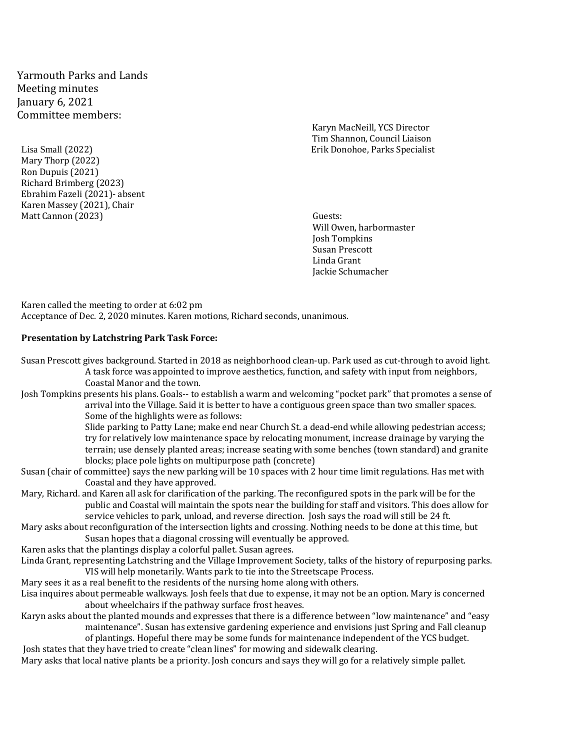Yarmouth Parks and Lands Meeting minutes January 6, 2021 Committee members:

Lisa Small (2022) Erik Donohoe, Parks Specialist Mary Thorp (2022) Ron Dupuis (2021) Richard Brimberg (2023) Ebrahim Fazeli (2021)- absent Karen Massey (2021), Chair Matt Cannon (2023) Guests:

Karyn MacNeill, YCS Director Tim Shannon, Council Liaison

 Will Owen, harbormaster Josh Tompkins Susan Prescott Linda Grant Jackie Schumacher

Karen called the meeting to order at 6:02 pm Acceptance of Dec. 2, 2020 minutes. Karen motions, Richard seconds, unanimous.

#### **Presentation by Latchstring Park Task Force:**

Susan Prescott gives background. Started in 2018 as neighborhood clean-up. Park used as cut-through to avoid light. A task force was appointed to improve aesthetics, function, and safety with input from neighbors, Coastal Manor and the town.

Josh Tompkins presents his plans. Goals-- to establish a warm and welcoming "pocket park" that promotes a sense of arrival into the Village. Said it is better to have a contiguous green space than two smaller spaces. Some of the highlights were as follows:

> Slide parking to Patty Lane; make end near Church St. a dead-end while allowing pedestrian access; try for relatively low maintenance space by relocating monument, increase drainage by varying the terrain; use densely planted areas; increase seating with some benches (town standard) and granite blocks; place pole lights on multipurpose path (concrete)

- Susan (chair of committee) says the new parking will be 10 spaces with 2 hour time limit regulations. Has met with Coastal and they have approved.
- Mary, Richard. and Karen all ask for clarification of the parking. The reconfigured spots in the park will be for the public and Coastal will maintain the spots near the building for staff and visitors. This does allow for service vehicles to park, unload, and reverse direction. Josh says the road will still be 24 ft.
- Mary asks about reconfiguration of the intersection lights and crossing. Nothing needs to be done at this time, but Susan hopes that a diagonal crossing will eventually be approved.

Karen asks that the plantings display a colorful pallet. Susan agrees.

- Linda Grant, representing Latchstring and the Village Improvement Society, talks of the history of repurposing parks. VIS will help monetarily. Wants park to tie into the Streetscape Process.
- Mary sees it as a real benefit to the residents of the nursing home along with others.
- Lisa inquires about permeable walkways. Josh feels that due to expense, it may not be an option. Mary is concerned about wheelchairs if the pathway surface frost heaves.
- Karyn asks about the planted mounds and expresses that there is a difference between "low maintenance" and "easy maintenance". Susan has extensive gardening experience and envisions just Spring and Fall cleanup of plantings. Hopeful there may be some funds for maintenance independent of the YCS budget.

Josh states that they have tried to create "clean lines" for mowing and sidewalk clearing.

Mary asks that local native plants be a priority. Josh concurs and says they will go for a relatively simple pallet.